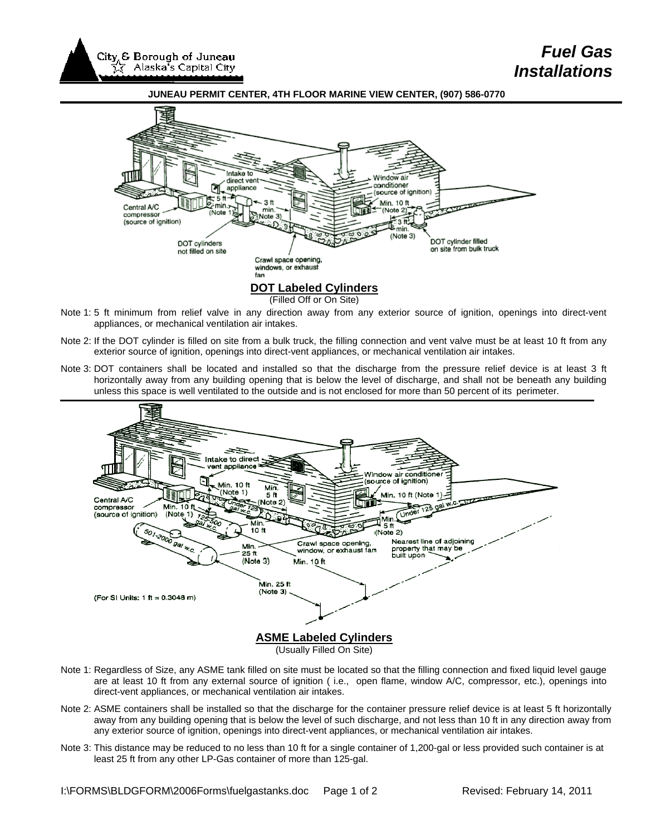

# *Fuel Gas Installations*





#### **DOT Labeled Cylinders**

(Filled Off or On Site)

- Note 1: 5 ft minimum from relief valve in any direction away from any exterior source of ignition, openings into direct-vent appliances, or mechanical ventilation air intakes.
- Note 2: If the DOT cylinder is filled on site from a bulk truck, the filling connection and vent valve must be at least 10 ft from any exterior source of ignition, openings into direct-vent appliances, or mechanical ventilation air intakes.
- Note 3: DOT containers shall be located and installed so that the discharge from the pressure relief device is at least 3 ft horizontally away from any building opening that is below the level of discharge, and shall not be beneath any building unless this space is well ventilated to the outside and is not enclosed for more than 50 percent of its perimeter.



- Note 1: Regardless of Size, any ASME tank filled on site must be located so that the filling connection and fixed liquid level gauge are at least 10 ft from any external source of ignition ( i.e., open flame, window A/C, compressor, etc.), openings into direct-vent appliances, or mechanical ventilation air intakes.
- Note 2: ASME containers shall be installed so that the discharge for the container pressure relief device is at least 5 ft horizontally away from any building opening that is below the level of such discharge, and not less than 10 ft in any direction away from any exterior source of ignition, openings into direct-vent appliances, or mechanical ventilation air intakes.
- Note 3: This distance may be reduced to no less than 10 ft for a single container of 1,200-gal or less provided such container is at least 25 ft from any other LP-Gas container of more than 125-gal.